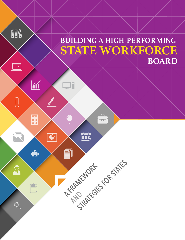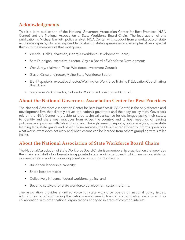## **Acknowledgments**

This is a joint publication of the National Governors Association Center for Best Practices (NGA Center) and the National Association of State Workforce Board Chairs. The lead author of this publication is Michael Bartlett, policy analyst, NGA Center, with support from a workgroup of state workforce experts, who are responsible for sharing state experiences and examples. A very special thanks to the members of that workgroup:

- Wendell Dallas, chairman, Georgia Workforce Development Board;
- Sara Dunnigan, executive director, Virginia Board of Workforce Development;
- Wes Jurey, chairman, Texas Workforce Investment Council;
- Garret Oswald, director, Maine State Workforce Board;
- Eleni Papadakis, executive director, Washington Workforce Training & Education Coordinating Board; and
- Stephanie Veck, director, Colorado Workforce Development Council.

## **About the National Governors Association Center for Best Practices**

The National Governors Association Center for Best Practices (NGA Center) is the only research and development firm that directly serves the nation's governors and their key policy staff. Governors rely on the NGA Center to provide tailored technical assistance for challenges facing their states; to identify and share best practices from across the country; and to host meetings of leading policymakers, program officials and scholars. Through research reports, policy analyses, cross-state learning labs, state grants and other unique services, the NGA Center efficiently informs governors what works, what does not work and what lessons can be learned from others grappling with similar issues.

## **About the National Association of State Workforce Board Chairs**

The National Association of State Workforce Board Chairs is a membership organization that provides the chairs and staff of gubernatorial-appointed state workforce boards, which are responsible for overseeing state workforce development systems, opportunities to:

- Build their leadership capacity;
- Share best practices;
- • Collectively influence federal workforce policy; and
- Become catalysts for state workforce development system reforms.

The association provides a unified voice for state workforce boards on national policy issues, with a focus on strengthening the nation's employment, training and education systems and on collaborating with other national organizations engaged in areas of common interest.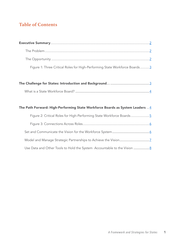# **Table of Contents**

| Figure 1: Three Critical Roles for High-Performing State Workforce Boards3 |  |
|----------------------------------------------------------------------------|--|

| The Path Forward: High-Performing State Workforce Boards as System Leaders  4 |                                                                          |  |
|-------------------------------------------------------------------------------|--------------------------------------------------------------------------|--|
|                                                                               | Figure 2: Critical Roles for High-Performing State Workforce Boards5     |  |
|                                                                               |                                                                          |  |
|                                                                               |                                                                          |  |
|                                                                               |                                                                          |  |
|                                                                               | Use Data and Other Tools to Hold the System Accountable to the Vision  8 |  |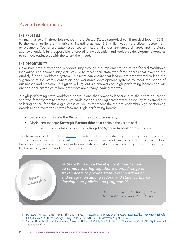## **Executive Summary**

#### **THE PROBLEM**

As many as one in three businesses in the United States struggled to fill needed jobs in 2015.<sup>1</sup> Furthermore, millions of Americans, including at least 5.5 million youth, are disconnected from employment. Too often, state responses to these challenges are uncoordinated, and no single agency or entity is fully responsible for coordinating education and workforce development agencies to connect businesses with the talent they need.

#### **THE OPPORTUNITY**

Governors have a tremendous opportunity through the implementation of the federal Workforce Innovation and Opportunity Act (WIOA) to reset their state workforce boards that oversee the publicly-funded workforce system. This reset can ensure that boards are empowered to lead the alignment of the state's education and workforce development systems to meet the needs of businesses and workers. This guide will lay out a framework for high-performing boards and will provide clear examples of how governors are already leading the way.

A high-performing state workforce board is one that provides leadership to the entire education and workforce system to create sustainable change. Looking across states, three key roles stand out as being critical for achieving success as well as represent the system leadership high-performing boards use to move their states forward. High-performing boards:

- Set and communicate the Vision for the workforce system;
- Model and manage **Strategic Partnerships** that achieve the vision; and
- Use data and accountability systems to Keep the System Accountable to the vision.

This framework in Figure 1 on page 3 provides a clear understanding of the high-level roles that state workforce boards need to fulfill. It offers clear guidance and examples of what these roles look like in practice across a variety of individual state contexts, ultimately leading to better outcomes for businesses, workers and state economies.



Manpower Group, "2015 Talent Shortage Survey," http://www.manpowergroup.com/wps/wcm/connect/db23c560-08b6-485f-9bf6f5f38a43c76a/2015\_Talent\_Shortage\_Survey\_US-lo\_res.pdf?MOD=AJPERES (accessed August 1, 2016).

<sup>2</sup> State of Nebraska Office of the Governor, "Executive Order 15-03," http://nlcs1.nlc.state.ne.us/docs/pilot/pubs/eofiles/15-03.pdf (accessed September 9, 2016).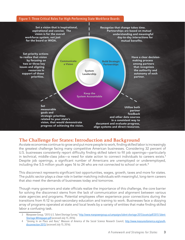#### Figure 1: Three Critical Roles For High-Performing State Workforce Boards



### **The Challenge for States: Introduction and Background**

As state economies continue to grow and put more people to work, finding skilled labor is increasingly the greatest challenge facing many competitive American businesses. Considering 32 percent of U.S. businesses consistently report difficulty finding skilled talent to fill job openings—particularly in technical, middle-class jobs—a need for state action to connect individuals to careers exists.<sup>3</sup> Despite job openings, a significant number of Americans are unemployed or underemployed, including the 5.5 million youth ages 16 to 24 who are not connected to school or work.<sup>4</sup>

This disconnect represents significant lost opportunities, wages, growth, taxes and more for states. The public sector plays a clear role in better matching individuals with meaningful, long-term careers that also meet the demands of businesses today and tomorrow.

Though many governors and state officials realize the importance of this challenge, the core barrier for solving the disconnect stems from the lack of communication and alignment between various state agencies and programs. Potential employees often experience poor connections during the transitions from K-12 to post-secondary education and training to work. Businesses face a dizzying array of programs operated at state and local levels by a variety of entities that make finding skilled labor a confusing task.

<sup>3</sup> Manpower Group, "2015 U.S. Talent Shortage Survey," http://www.manpowergroup.us/campaigns/talent-shortage-2015/assets/pdf/2015-Talent-Shortage-Whitepaper.pdf (accessed July 15, 2016).

<sup>&</sup>lt;sup>4</sup> "Zeroing In on Place and Race," Measure of America of the Social Science Research Council, http://www.measureofamerica.org/youthdisconnection-2015/ (accessed July 15, 2016).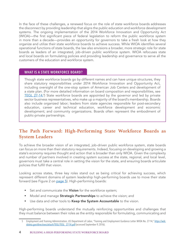In the face of these challenges, a renewed focus on the role of state workforce boards addresses the disconnect by providing leadership that aligns the public education and workforce development systems. The ongoing implementation of the 2014 Workforce Innovation and Opportunity Act (WIOA)—the first significant piece of federal legislation to reform the public workforce system in more than a decade—provides an opportunity for governors to take a fresh look at how they organize and utilize their state workforce boards to achieve success. While WIOA identifies several operational functions of state boards, the law also envisions a broader, more strategic role for state boards as leaders of an integrated, job-driven public workforce system. WIOA refocuses state and local boards on formulating policies and providing leadership and governance to serve all the customers of the education and workforce system.

#### **WHAT IS A STATE WORKFORCE BOARD?**

Though state workforce boards go by different names and can have unique structures, they share statutory responsibilities under 2014 Workforce Innovation and Opportunity Act, including oversight of the one-stop system of American Job Centers and development of a state plan. (For more detailed information on board composition and responsibilities, see TEGL 27-14.<sup>5</sup>) State workforce boards are appointed by the governor and led by private sector business representatives, who make up a majority of the board's membership. Boards also include organized labor; leaders from state agencies responsible for post-secondary education, career and technical education, workforce development and economic development; and community organizations. Boards often represent the embodiment of public-private partnerships.

## **The Path Forward: High-Performing State Workforce Boards as System Leaders**

To achieve the broader vision of an integrated, job-driven public workforce system, state boards can focus on more than their statutory requirements. Indeed, focusing on developing and growing a state's economy requires thought and action that is broader than only WIOA. Given the complexity and number of partners involved in creating system success at the state, regional, and local level, governors must take a central role in setting the vision for the state, and ensuring boards articulate policies that fulfill that vision.

Looking across states, three key roles stand out as being critical for achieving success, which represent different domains of system leadership high-performing boards use to move their state forward (see Figure 2 on page 5). High-performing boards:

- Set and communicate the Vision for the workforce system;
- Model and manage **Strategic Partnerships** to achieve the vision; and
- Use data and other tools to **Keep the System Accountable** to the vision.

High-performing boards understand the mutually reinforcing opportunities and challenges that they must balance between their roles as the entity responsible for formulating, communicating and

<sup>5</sup> Employment and Training Administration, US Department of Labor, "Training and Employment Guidance Letter WIOA No. 27-14," https://wdr. doleta.gov/directives/attach/TEGL/TEGL\_27-14.pdf (accessed September 9, 2016).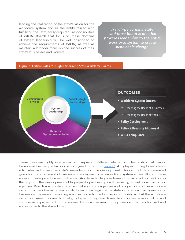leading the realization of the state's vision for the workforce system and as the entity tasked with fulfilling the statutorily-required responsibilities of WIOA. Boards that focus on these domains of system leadership will be well positioned to achieve the requirements of WIOA, as well as maintain a broader focus on the success of their state's businesses and workers.

*A high-performing state workforce board is one that provides leadership to the entire workforce system to create sustainable change.* 





These roles are highly interrelated and represent different elements of leadership that cannot be approached sequentially or in silos (see Figure 3 on page 6). A high-performing board clearly articulates and shares the state's vision for workforce development. This can include enumerated goals for the attainment of credentials or degrees or a vision for a system where all youth have access to integrated career pathways. Additionally, high-performing boards act as backbones that support the development of high-quality partnerships with industry, as well as across public agencies. Boards also create strategies that align state agencies and programs and other workforce system partners toward shared goals. Boards can organize the state's strategy across agencies for business engagement, providing a unified voice to the business community so that the workforce system can meet their needs. Finally, high-performing boards use data to drive decision making and continuous improvement of the system. Data can be used to help keep all partners focused and accountable to the shared vision.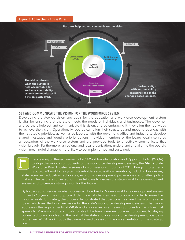

#### **SET AND COMMUNICATE THE VISION FOR THE WORKFORCE SYSTEM**

Developing a statewide vision and goals for the education and workforce development system is vital for ensuring that the state meets the needs of individuals and businesses. The governor and partners help set and communicate this vision, and by embracing it, they align their activities to achieve the vision. Operationally, boards can align their structures and meeting agendas with their strategic priorities, as well as collaborate with the governor's office and industry to develop shared messages and identify priority actions. Individual members of the board ideally serve as ambassadors of the workforce system and are provided tools to effectively communicate that vision broadly. Furthermore, as regional and local organizations understand and align to the board's vision, meaningful change is more likely to be implemented and sustained.

Capitalizing on the requirement of 2014 Workforce Innovation and Opportunity Act (WIOA) to align the various components of the workforce development system, the Maine State Workforce Board hosted a series of vision sessions throughout 2015. Bringing together a group of 60 workforce system stakeholders across 41 organizations, including businesses, state agencies, educators, advocates, economic development professionals and other policy makers. The partners convened for three full days to discuss the state's workforce development system and to create a strong vision for the future.

By focusing discussions on what success will look like for Maine's workforce development system in five to 10 years, the group could identify what changes need to occur in order to make the vision a reality. Ultimately, the process demonstrated that participants shared many of the same ideas, which resulted in a new vision for the state's workforce development system. That vision addresses the requirements of WIOA and also serves as a meaningful plan for the future that speaks to Maine's vision and goals for itself. Partners were encouraged to commit to staying connected to and involved in the work of the state and local workforce development boards or of the new WIOA workgroups that were formed to assist in the implementation of the strategic plan.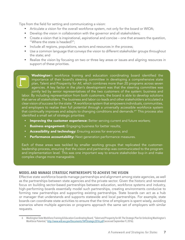Tips from the field for setting and communicating a vision:

- Articulate a vision for the overall workforce system, not only for the board or WIOA;
- Develop the vision in collaboration with the governor and all stakeholders;
- Create a vision that is inspirational, aspirational and concise one that answers the question, "Where the state is headed?";
- Include all regions, populations, sectors and resources in the process;
- Use a common language that conveys the vision to different stakeholder groups throughout the state; and
- Realize the vision by focusing on two or three key areas or issues and aligning resources in support of these priorities.

Washington's workforce training and education coordinating board identified the importance of their board's steering committee in developing a comprehensive state plan, Talent and Prosperity for All, which combines more than 20 programs across seven agencies. A key factor in the plan's development was that the steering committee was jointly led by senior representatives of the two customers of the system: business and labor. By including representation from both customers, the board is able to develop solutions that serve all stakeholders. The business and labor co-leads and other stakeholders articulated a clear vision of success for the state: "A workforce system that empowers individuals, communities, and employers to realize their full potential through a universally accessible workforce system that continually improves and adapts to changing conditions and demands.<sup>6</sup> " This process also identified a small set of strategic priorities:

- Improving the customer experience: Better serving current and future workers;
- **Business engagement:** Engaging business for better results;
- Accessibility and technology: Ensuring access for everyone; and
- Performance accountability: Next generation performance measures.

Each of these areas was tackled by smaller working groups that replicated the customerleadership process, ensuring that the vision and partnership was communicated to the program and implementation level. This was one important way to ensure stakeholder buy-in and make complex change more manageable.

#### **MODEL AND MANAGE STRATEGIC PARTNERSHIPS TO ACHIEVE THE VISION**

Effective state workforce boards manage partnerships and alignment among state agencies, as well as the partnerships between state agencies and the private sector. Given the historic and renewed focus on building sector-based partnerships between education, workforce systems and industry, high-performing boards essentially model such partnerships, creating environments conducive to forming new partnerships and supporting existing partnerships. State boards can act as a hub or manager that understands and supports statewide and local partnerships. For example, state boards can coordinate state activities to ensure that the time of employers is spent wisely, avoiding scenarios where multiple agencies or programs approach the same set of employers with similar requests.

<sup>6</sup> Washington StateWorkforce Training & Education Coordinating Board,"Talent and Prosperityfor All:The Strategic Plan for UnlockingWashington's Workforce Potential," http://www.wtb.wa.gov/Documents/TAPStrategic2016.pdf (accessed September 9, 2016).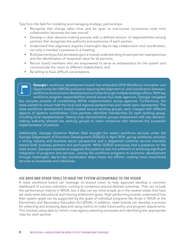Tips from the field for modeling and managing strategic partnerships:

- Recognize that change takes time, and be open to mid-course corrections—over time collaboration becomes the new normal;
- Develop a clear decision-making process with a defined division of responsibilities among partners that recognizes the authority and autonomy of each partner;
- Understand that alignment requires meaningful day-to-day collaboration and coordination, not only a member's presence in a meeting;
- Build partnerships that are based upon a mutual understanding of each partner's perspectives and the identification of reciprocal value for all partners;
- Recruit board members who are empowered to serve as ambassadors for the system and communicate the vision to different stakeholders; and
- • Be willing to have difficult conversations.

Georgia's workforce development board has embodied 2014 Workforce Innovation and Opportunity Act (WIOA) provisions requiring the alignment of, and coordination between, workforce and economic development activities through multiple strategic efforts. With key workforce program responsibilities shared across four state agencies, Georgia navigated the complex process of coordinating WIOA implementation across agencies. Furthermore, the state wanted to ensure that the local and regional perspectives and needs were represented. The state workforce development board created several working groups, each charged with different aspects of systems coordination. Core partners identified membership for each working group, including local representation. Having truly representative groups empowered with key decisionmaking authority allowed the working groups to reach consensus that hastened the successful implementation of policies.

Additionally, Georgia Governor Nathan Deal brought the state's workforce services under the Georgia Department of Economic Development (GDEcD) in April 2014, giving workforce activities a strong industry and business sector perspective and a deepened customer service mentality toward both business partners and participants. While GDEcD previously had a presence on the state board, Georgia's experience suggests this presence was not sufficient to achieving significant integration of programs and services. Joining the workforce programs to economic development through meaningful, day-to-day coordination aligns these two efforts, creating more streamlined services to businesses and individuals.

#### **USE DATA AND OTHER TOOLS TO HOLD THE SYSTEM ACCOUNTABLE TO THE VISION**

A state workforce board can leverage its shared vision to help agencies develop a common dashboard of success indicators, coming to consensus around desired outcomes. That can include the performance metrics in WIOA, but it also can be more broad, as in the several states that have set state-wide educational and training attainment goals. High-performing boards understand how their system goals can be supported by the goals of individual programs like those in WIOA or the Elementary and Secondary Education Act (ESSA). In addition, state boards can develop a process for collecting and analyzing data and using metrics to make future policy and program adjustments. This involves using data to inform cross-agency planning processes and identifying the appropriate roles for each partner.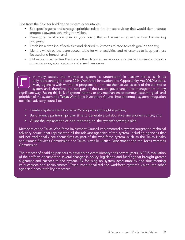Tips from the field for holding the system accountable:

- Set specific goals and strategic priorities related to the state vision that would demonstrate progress towards achieving the vision;
- Develop an evaluation plan for your board that will assess whether the board is making progress;
- Establish a timeline of activities and desired milestones related to each goal or priority;
- Identify which partners are accountable for what activities and milestones to keep partners focused and honest; and
- • Utilize both partner feedback and other data sources in a documented and consistent way to correct course, align systems and direct resources.

In many states, the workforce system is understood in narrow terms, such as only representing the core 2014 Workforce Innovation and Opportunity Act (WIOA) titles. Many agencies with workforce programs do not see themselves as part of the workforce system and, therefore, are not part of the system governance and management in any significant way. Facing this lack of system identity or any mechanism to communicate the goals and priorities of the system, the Texas Workforce Investment Council implemented a system integration technical advisory council to:

- Create a system identity across 25 programs and eight agencies;
- Build agency partnerships over time to generate a collaborative and aligned culture; and
- Guide the implantation of, and reporting on, the system's strategic plan.

Members of the Texas Workforce Investment Council implemented a system integration technical advisory council that represented all the relevant agencies of the system, including agencies that did not traditionally see themselves as part of the workforce system, such as the Texas Health and Human Services Commission, the Texas Juvenile Justice Department and the Texas Veterans Commission.

The process of enabling partners to develop a system identity took several years. A 2015 evaluation of their efforts documented several changes in policy, legislation and funding that brought greater alignment and success to the system. By focusing on system accountability and documenting its successes and achievements, Texas institutionalized the workforce system's vision into other agencies' accountability processes.